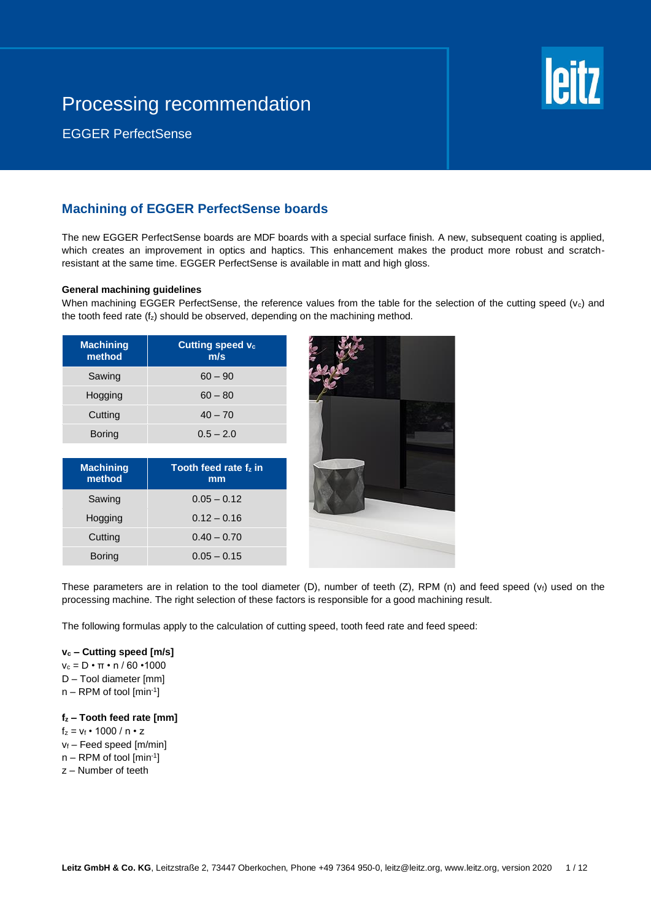

EGGER PerfectSense

## **Machining of EGGER PerfectSense boards**

The new EGGER PerfectSense boards are MDF boards with a special surface finish. A new, subsequent coating is applied, which creates an improvement in optics and haptics. This enhancement makes the product more robust and scratchresistant at the same time. EGGER PerfectSense is available in matt and high gloss.

### **General machining guidelines**

When machining EGGER PerfectSense, the reference values from the table for the selection of the cutting speed  $(v_c)$  and the tooth feed rate  $(f_z)$  should be observed, depending on the machining method.

| <b>Machining</b><br>method | <b>Cutting speed vc</b><br>m/s |
|----------------------------|--------------------------------|
| Sawing                     | $60 - 90$                      |
| Hogging                    | $60 - 80$                      |
| Cutting                    | $40 - 70$                      |
| <b>Boring</b>              | $0.5 - 2.0$                    |

| <b>Machining</b><br>method | Tooth feed rate fz in<br>mm |
|----------------------------|-----------------------------|
| Sawing                     | $0.05 - 0.12$               |
| Hogging                    | $0.12 - 0.16$               |
| Cutting                    | $0.40 - 0.70$               |
| <b>Boring</b>              | $0.05 - 0.15$               |



These parameters are in relation to the tool diameter  $(D)$ , number of teeth  $(Z)$ , RPM  $(n)$  and feed speed  $(v_i)$  used on the processing machine. The right selection of these factors is responsible for a good machining result.

The following formulas apply to the calculation of cutting speed, tooth feed rate and feed speed:

#### **v<sup>c</sup> – Cutting speed [m/s]**

- $v_c = D \cdot \pi \cdot n / 60 \cdot 1000$
- D Tool diameter [mm]
- n RPM of tool [min-1 ]

## **f<sup>z</sup> – Tooth feed rate [mm]**

- $f_z = v_f \cdot 1000 / n \cdot z$
- $v_f$  Feed speed [m/min]
- n RPM of tool [min-1 ]
- z Number of teeth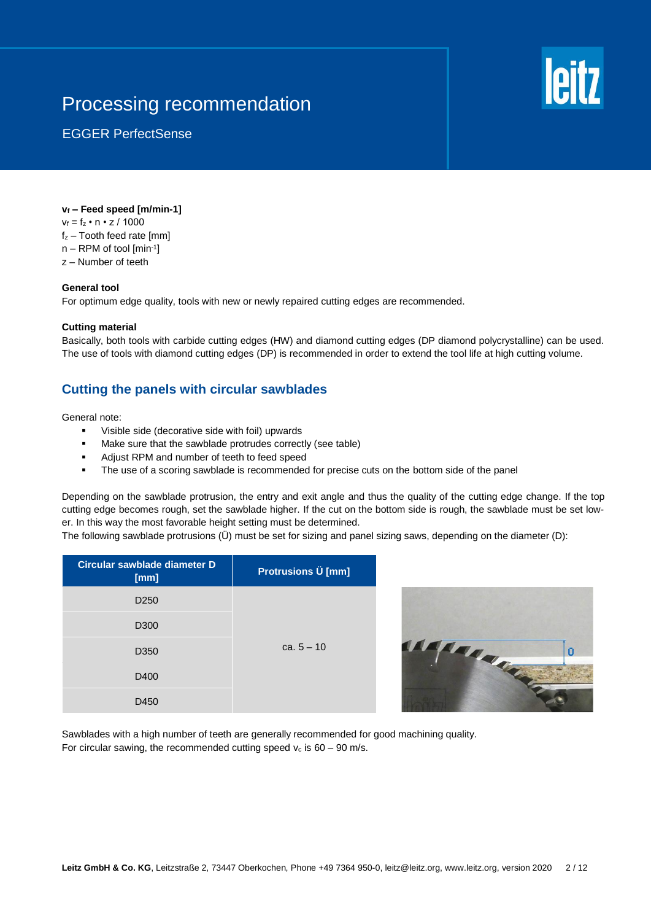

EGGER PerfectSense

## **v<sup>f</sup> – Feed speed [m/min-1]**

- $v_f = f_z \cdot n \cdot z / 1000$
- $f_z$  Tooth feed rate [mm]
- n RPM of tool [min-1 ]
- z Number of teeth

### **General tool**

For optimum edge quality, tools with new or newly repaired cutting edges are recommended.

### **Cutting material**

Basically, both tools with carbide cutting edges (HW) and diamond cutting edges (DP diamond polycrystalline) can be used. The use of tools with diamond cutting edges (DP) is recommended in order to extend the tool life at high cutting volume.

## **Cutting the panels with circular sawblades**

#### General note:

- Visible side (decorative side with foil) upwards
- Make sure that the sawblade protrudes correctly (see table)
- Adjust RPM and number of teeth to feed speed
- The use of a scoring sawblade is recommended for precise cuts on the bottom side of the panel

Depending on the sawblade protrusion, the entry and exit angle and thus the quality of the cutting edge change. If the top cutting edge becomes rough, set the sawblade higher. If the cut on the bottom side is rough, the sawblade must be set lower. In this way the most favorable height setting must be determined.

The following sawblade protrusions (Ü) must be set for sizing and panel sizing saws, depending on the diameter (D):

| Circular sawblade diameter D<br>[mm] | <b>Protrusions U [mm]</b> |
|--------------------------------------|---------------------------|
| D <sub>250</sub>                     |                           |
| D <sub>300</sub>                     |                           |
| D <sub>350</sub>                     | ca. $5 - 10$              |
| D400                                 |                           |
| D450                                 |                           |



Sawblades with a high number of teeth are generally recommended for good machining quality. For circular sawing, the recommended cutting speed  $v_c$  is 60 – 90 m/s.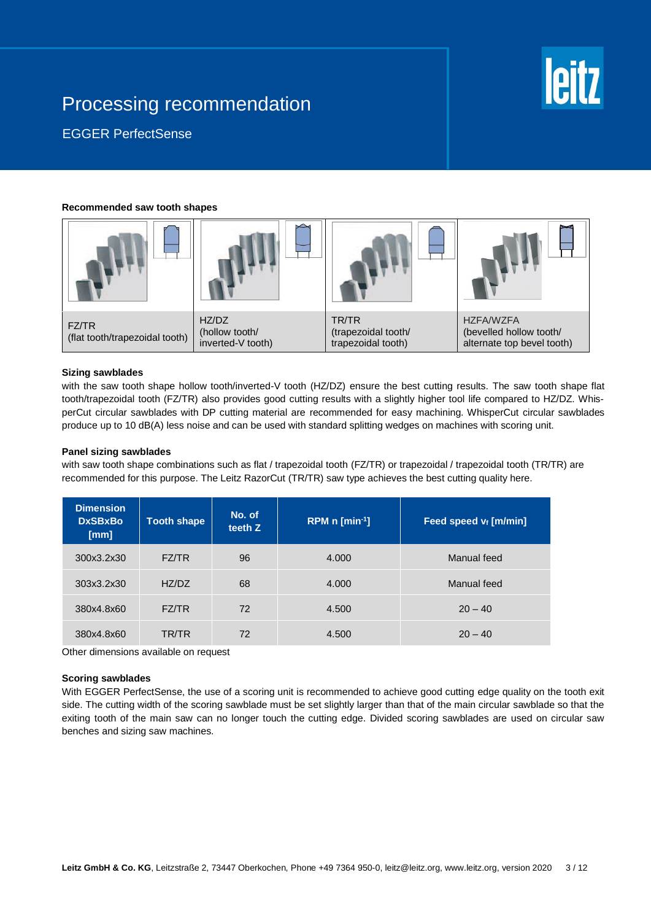

EGGER PerfectSense

#### **Recommended saw tooth shapes**



#### **Sizing sawblades**

with the saw tooth shape hollow tooth/inverted-V tooth (HZ/DZ) ensure the best cutting results. The saw tooth shape flat tooth/trapezoidal tooth (FZ/TR) also provides good cutting results with a slightly higher tool life compared to HZ/DZ. WhisperCut circular sawblades with DP cutting material are recommended for easy machining. WhisperCut circular sawblades produce up to 10 dB(A) less noise and can be used with standard splitting wedges on machines with scoring unit.

#### **Panel sizing sawblades**

with saw tooth shape combinations such as flat / trapezoidal tooth (FZ/TR) or trapezoidal / trapezoidal tooth (TR/TR) are recommended for this purpose. The Leitz RazorCut (TR/TR) saw type achieves the best cutting quality here.

| <b>Dimension</b><br><b>DxSBxBo</b><br>[mm] | <b>Tooth shape</b> | No. of<br>teeth Z | RPM $n$ [min <sup>-1</sup> ] | Feed speed $v_f$ [m/min] |
|--------------------------------------------|--------------------|-------------------|------------------------------|--------------------------|
| 300x3.2x30                                 | FZ/TR              | 96                | 4.000                        | Manual feed              |
| 303x3.2x30                                 | HZ/DZ              | 68                | 4.000                        | Manual feed              |
| 380x4.8x60                                 | FZ/TR              | 72                | 4.500                        | $20 - 40$                |
| 380x4.8x60                                 | TR/TR              | 72                | 4.500                        | $20 - 40$                |

Other dimensions available on request

#### **Scoring sawblades**

With EGGER PerfectSense, the use of a scoring unit is recommended to achieve good cutting edge quality on the tooth exit side. The cutting width of the scoring sawblade must be set slightly larger than that of the main circular sawblade so that the exiting tooth of the main saw can no longer touch the cutting edge. Divided scoring sawblades are used on circular saw benches and sizing saw machines.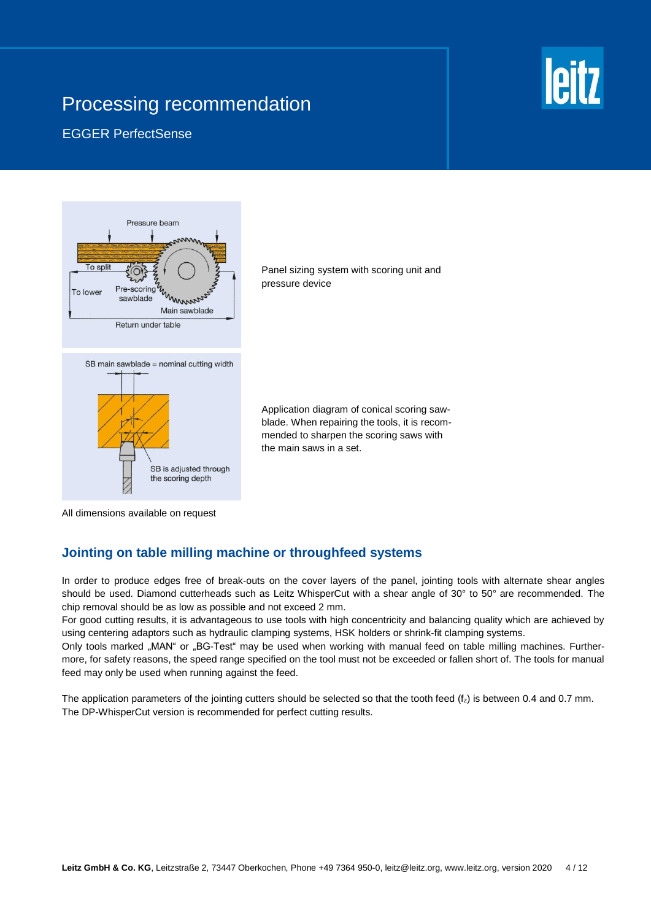# **leitz**

## EGGER PerfectSense



Panel sizing system with scoring unit and pressure device

Application diagram of conical scoring sawblade. When repairing the tools, it is recommended to sharpen the scoring saws with the main saws in a set.

All dimensions available on request

## **Jointing on table milling machine or throughfeed systems**

In order to produce edges free of break-outs on the cover layers of the panel, jointing tools with alternate shear angles should be used. Diamond cutterheads such as Leitz WhisperCut with a shear angle of 30° to 50° are recommended. The chip removal should be as low as possible and not exceed 2 mm.

For good cutting results, it is advantageous to use tools with high concentricity and balancing quality which are achieved by using centering adaptors such as hydraulic clamping systems, HSK holders or shrink-fit clamping systems.

Only tools marked "MAN" or "BG-Test" may be used when working with manual feed on table milling machines. Furthermore, for safety reasons, the speed range specified on the tool must not be exceeded or fallen short of. The tools for manual feed may only be used when running against the feed.

The application parameters of the jointing cutters should be selected so that the tooth feed  $(f<sub>z</sub>)$  is between 0.4 and 0.7 mm. The DP-WhisperCut version is recommended for perfect cutting results.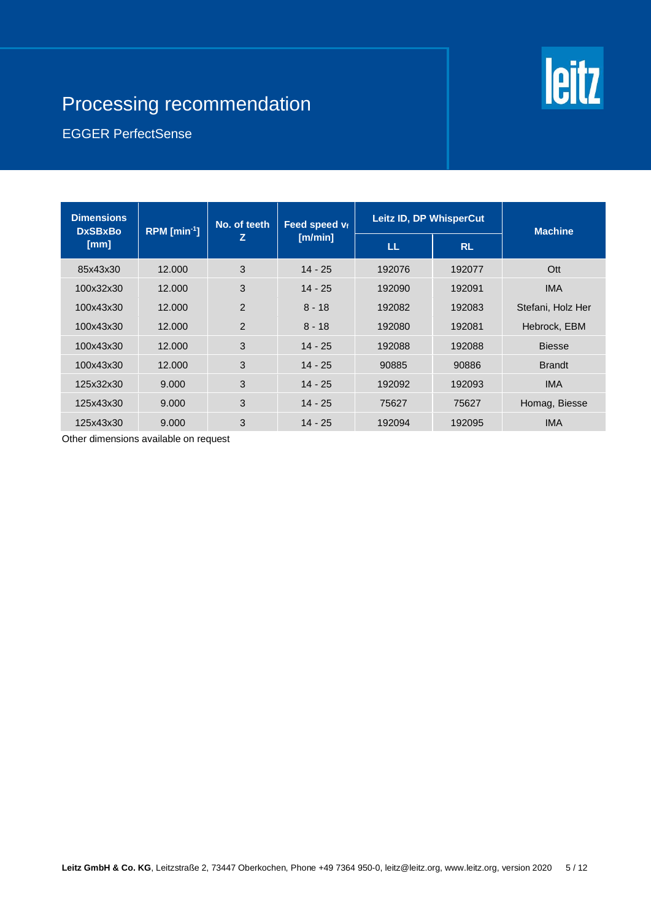# **leitz**

# Processing recommendation

## EGGER PerfectSense

| <b>Dimensions</b><br><b>DxSBxBo</b> | RPM $[min-1]$ | No. of teeth  | Feed speed vf | Leitz ID, DP WhisperCut |           | <b>Machine</b>    |
|-------------------------------------|---------------|---------------|---------------|-------------------------|-----------|-------------------|
| [mm]                                |               | z             | [m/min]       | LL.                     | <b>RL</b> |                   |
| 85x43x30                            | 12.000        | 3             | $14 - 25$     | 192076                  | 192077    | Ott               |
| 100x32x30                           | 12.000        | 3             | $14 - 25$     | 192090                  | 192091    | <b>IMA</b>        |
| 100x43x30                           | 12.000        | $\mathcal{P}$ | $8 - 18$      | 192082                  | 192083    | Stefani, Holz Her |
| 100x43x30                           | 12.000        | 2             | $8 - 18$      | 192080                  | 192081    | Hebrock, EBM      |
| 100x43x30                           | 12,000        | 3             | $14 - 25$     | 192088                  | 192088    | <b>Biesse</b>     |
| 100x43x30                           | 12.000        | 3             | $14 - 25$     | 90885                   | 90886     | <b>Brandt</b>     |
| 125x32x30                           | 9.000         | 3             | $14 - 25$     | 192092                  | 192093    | <b>IMA</b>        |
| 125x43x30                           | 9.000         | 3             | $14 - 25$     | 75627                   | 75627     | Homag, Biesse     |
| 125x43x30                           | 9.000         | 3             | $14 - 25$     | 192094                  | 192095    | <b>IMA</b>        |

Other dimensions available on request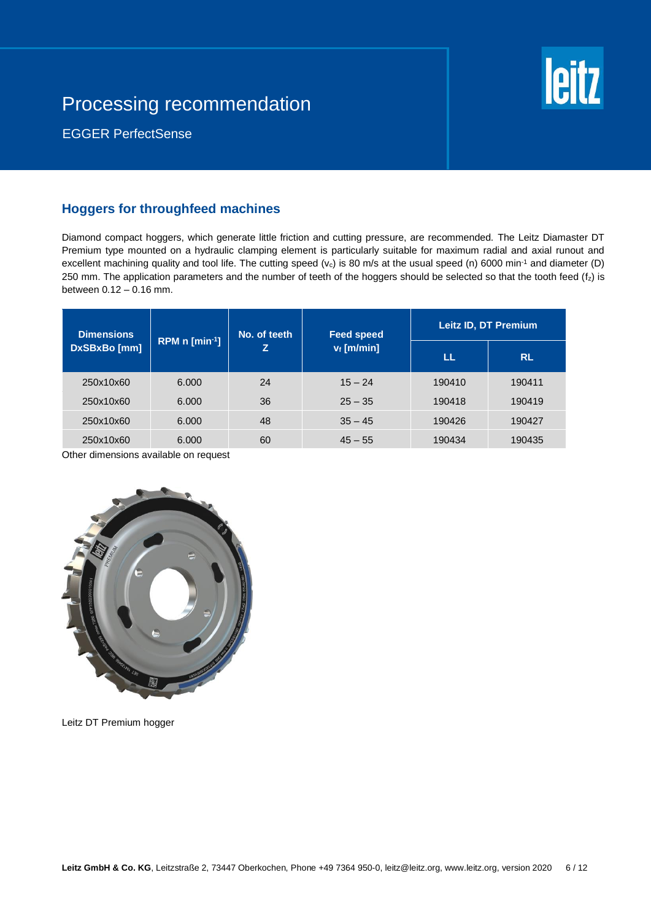

EGGER PerfectSense

## **Hoggers for throughfeed machines**

Diamond compact hoggers, which generate little friction and cutting pressure, are recommended. The Leitz Diamaster DT Premium type mounted on a hydraulic clamping element is particularly suitable for maximum radial and axial runout and excellent machining quality and tool life. The cutting speed  $(v_c)$  is 80 m/s at the usual speed (n) 6000 min<sup>-1</sup> and diameter (D) 250 mm. The application parameters and the number of teeth of the hoggers should be selected so that the tooth feed  $(f<sub>z</sub>)$  is between 0.12 – 0.16 mm.

| <b>Dimensions</b><br>RPM $n$ [min <sup>-1</sup> ]<br>DxSBxBo [mm] |       | No. of teeth<br>Z | <b>Feed speed</b><br>$v_f$ [m/min] | Leitz ID, DT Premium |           |
|-------------------------------------------------------------------|-------|-------------------|------------------------------------|----------------------|-----------|
|                                                                   |       |                   |                                    | LL                   | <b>RL</b> |
| 250x10x60                                                         | 6.000 | 24                | $15 - 24$                          | 190410               | 190411    |
| 250x10x60                                                         | 6.000 | 36                | $25 - 35$                          | 190418               | 190419    |
| 250x10x60                                                         | 6.000 | 48                | $35 - 45$                          | 190426               | 190427    |
| 250x10x60                                                         | 6.000 | 60                | $45 - 55$                          | 190434               | 190435    |

Other dimensions available on request



Leitz DT Premium hogger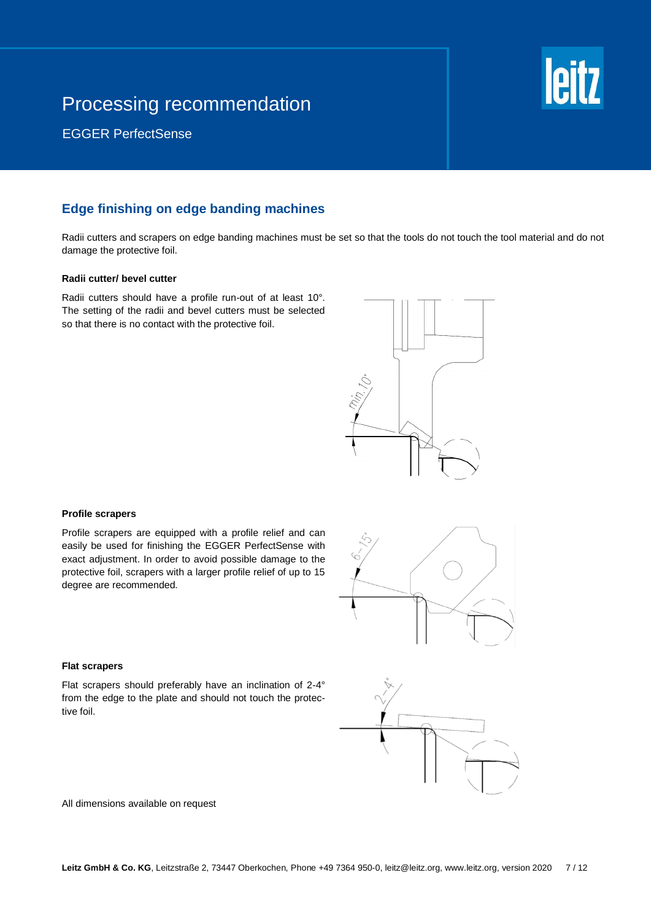

EGGER PerfectSense

## **Edge finishing on edge banding machines**

Radii cutters and scrapers on edge banding machines must be set so that the tools do not touch the tool material and do not damage the protective foil.

### **Radii cutter/ bevel cutter**

Radii cutters should have a profile run-out of at least 10°. The setting of the radii and bevel cutters must be selected so that there is no contact with the protective foil.



### **Profile scrapers**

Profile scrapers are equipped with a profile relief and can easily be used for finishing the EGGER PerfectSense with exact adjustment. In order to avoid possible damage to the protective foil, scrapers with a larger profile relief of up to 15 degree are recommended.



#### **Flat scrapers**

Flat scrapers should preferably have an inclination of 2-4° from the edge to the plate and should not touch the protective foil.



All dimensions available on request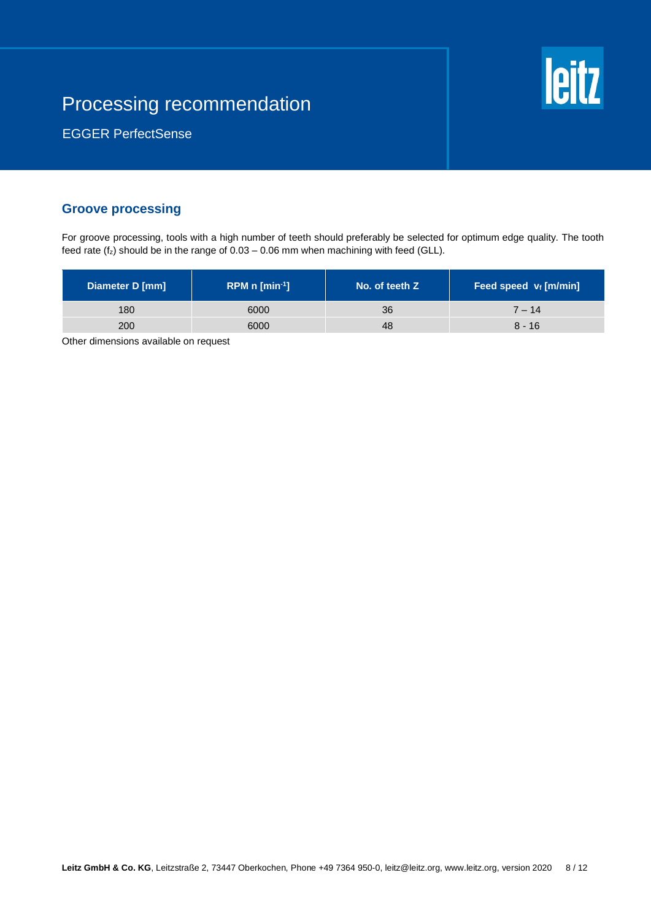

EGGER PerfectSense

## **Groove processing**

For groove processing, tools with a high number of teeth should preferably be selected for optimum edge quality. The tooth feed rate ( $f_z$ ) should be in the range of  $0.03 - 0.06$  mm when machining with feed (GLL).

| Diameter D [mm] | RPM $n$ [min <sup>-1</sup> ] | No. of teeth Z | Feed speed v <sub>f</sub> [m/min] |
|-----------------|------------------------------|----------------|-----------------------------------|
| 180             | 6000                         | 36             | $7 - 14$                          |
| 200             | 6000                         | 48             | $8 - 16$                          |

Other dimensions available on request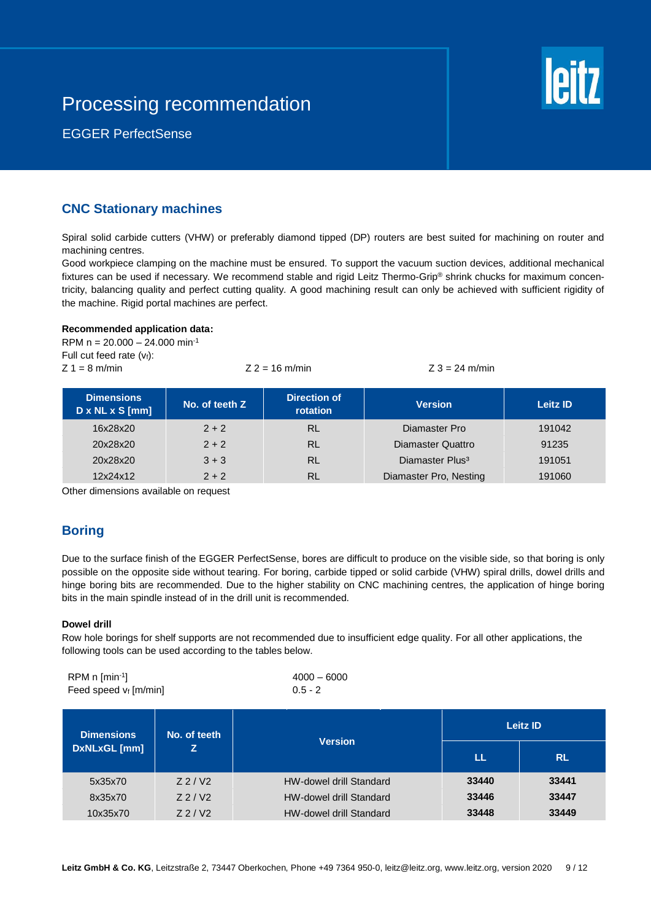

EGGER PerfectSense

## **CNC Stationary machines**

Spiral solid carbide cutters (VHW) or preferably diamond tipped (DP) routers are best suited for machining on router and machining centres.

Good workpiece clamping on the machine must be ensured. To support the vacuum suction devices, additional mechanical fixtures can be used if necessary. We recommend stable and rigid Leitz Thermo-Grip® shrink chucks for maximum concentricity, balancing quality and perfect cutting quality. A good machining result can only be achieved with sufficient rigidity of the machine. Rigid portal machines are perfect.

### **Recommended application data:**

RPM  $n = 20.000 - 24.000$  min<sup>-1</sup> Full cut feed rate  $(v_i)$ :  $Z = 1 = 8$  m/min  $Z = 16$  m/min  $Z = 16$  m/min  $Z = 3 = 24$  m/min

|  |  | 16 m/min |  |
|--|--|----------|--|
|--|--|----------|--|

| <b>Dimensions</b><br>$D \times NL \times S$ [mm] | No. of teeth Z | Direction of<br>rotation | <b>Version</b>              | <b>Leitz ID</b> |
|--------------------------------------------------|----------------|--------------------------|-----------------------------|-----------------|
| 16x28x20                                         | $2 + 2$        | RL                       | Diamaster Pro               | 191042          |
| 20x28x20                                         | $2 + 2$        | <b>RL</b>                | <b>Diamaster Quattro</b>    | 91235           |
| 20x28x20                                         | $3 + 3$        | <b>RL</b>                | Diamaster Plus <sup>3</sup> | 191051          |
| 12x24x12                                         | $2 + 2$        | <b>RL</b>                | Diamaster Pro, Nesting      | 191060          |

Other dimensions available on request

## **Boring**

Due to the surface finish of the EGGER PerfectSense, bores are difficult to produce on the visible side, so that boring is only possible on the opposite side without tearing. For boring, carbide tipped or solid carbide (VHW) spiral drills, dowel drills and hinge boring bits are recommended. Due to the higher stability on CNC machining centres, the application of hinge boring bits in the main spindle instead of in the drill unit is recommended.

## **Dowel drill**

Row hole borings for shelf supports are not recommended due to insufficient edge quality. For all other applications, the following tools can be used according to the tables below.

| $RPM \, n \, [min^{-1}]$ | $4000 - 6000$ |
|--------------------------|---------------|
| Feed speed $v_f$ [m/min] | $0.5 - 2$     |

| <b>Dimensions</b><br>No. of teeth |                        | Leitz ID                       |       |           |
|-----------------------------------|------------------------|--------------------------------|-------|-----------|
| DxNLxGL [mm]                      |                        | <b>Version</b>                 | ш     | <b>RL</b> |
| 5x35x70                           | $Z$ 2 / V <sub>2</sub> | <b>HW-dowel drill Standard</b> | 33440 | 33441     |
| 8x35x70                           | $Z$ 2 / V <sub>2</sub> | <b>HW-dowel drill Standard</b> | 33446 | 33447     |
| 10x35x70                          | $Z$ 2 / V <sub>2</sub> | <b>HW-dowel drill Standard</b> | 33448 | 33449     |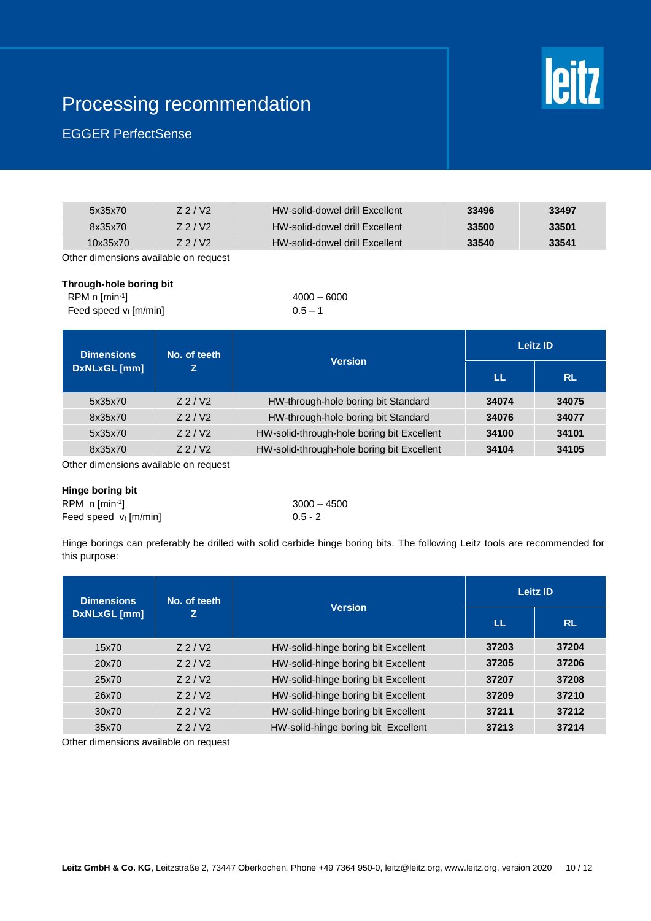

## EGGER PerfectSense

| 5x35x70  | Z <sub>2</sub> /V <sub>2</sub> | HW-solid-dowel drill Excellent | 33496 | 33497 |
|----------|--------------------------------|--------------------------------|-------|-------|
| 8x35x70  | Z <sub>2</sub> /V <sub>2</sub> | HW-solid-dowel drill Excellent | 33500 | 33501 |
| 10x35x70 | Z <sub>2</sub> /V <sub>2</sub> | HW-solid-dowel drill Excellent | 33540 | 33541 |
|          |                                |                                |       |       |

Other dimensions available on request

## **Through-hole boring bit**

| $RPM \, n \, [min^{-1}]$ | $4000 - 6000$ |
|--------------------------|---------------|
| Feed speed $v_f$ [m/min] | $0.5 - 1$     |

| <b>Dimensions</b> | No. of teeth           |                                                              | Leitz ID  |       |
|-------------------|------------------------|--------------------------------------------------------------|-----------|-------|
| DxNLxGL [mm]      | z                      | <b>Version</b><br>LL                                         | <b>RL</b> |       |
| 5x35x70           | $Z$ 2 / V <sub>2</sub> | HW-through-hole boring bit Standard                          | 34074     | 34075 |
| 8x35x70           | $Z$ 2 / V <sub>2</sub> | HW-through-hole boring bit Standard                          | 34076     | 34077 |
| 5x35x70           | $Z$ 2 / V <sub>2</sub> | HW-solid-through-hole boring bit Excellent<br>34100<br>34101 |           |       |
| 8x35x70           | $Z$ 2 / V <sub>2</sub> | HW-solid-through-hole boring bit Excellent                   | 34104     | 34105 |

Other dimensions available on request

#### **Hinge boring bit**

RPM n [min-1 Feed speed  $v_f$  [m/min] 0.5 - 2

# $3000 - 4500$

Hinge borings can preferably be drilled with solid carbide hinge boring bits. The following Leitz tools are recommended for this purpose:

| <b>Dimensions</b> | No. of teeth           |                                              | <b>Leitz ID</b> |           |
|-------------------|------------------------|----------------------------------------------|-----------------|-----------|
| DxNLxGL [mm]      | z                      | <b>Version</b>                               | LL              | <b>RL</b> |
| 15x70             | $Z$ 2 / V <sub>2</sub> | HW-solid-hinge boring bit Excellent          | 37203           | 37204     |
| 20x70             | $Z$ 2 / V <sub>2</sub> | HW-solid-hinge boring bit Excellent          | 37205           | 37206     |
| 25x70             | $Z$ 2 / V <sub>2</sub> | HW-solid-hinge boring bit Excellent          | 37207           | 37208     |
| 26x70             | $Z$ 2 / V <sub>2</sub> | HW-solid-hinge boring bit Excellent<br>37209 |                 | 37210     |
| 30x70             | $Z$ 2 / V <sub>2</sub> | HW-solid-hinge boring bit Excellent          | 37211           | 37212     |
| 35x70             | $Z$ 2 / V <sub>2</sub> | HW-solid-hinge boring bit Excellent          | 37213           | 37214     |

Other dimensions available on request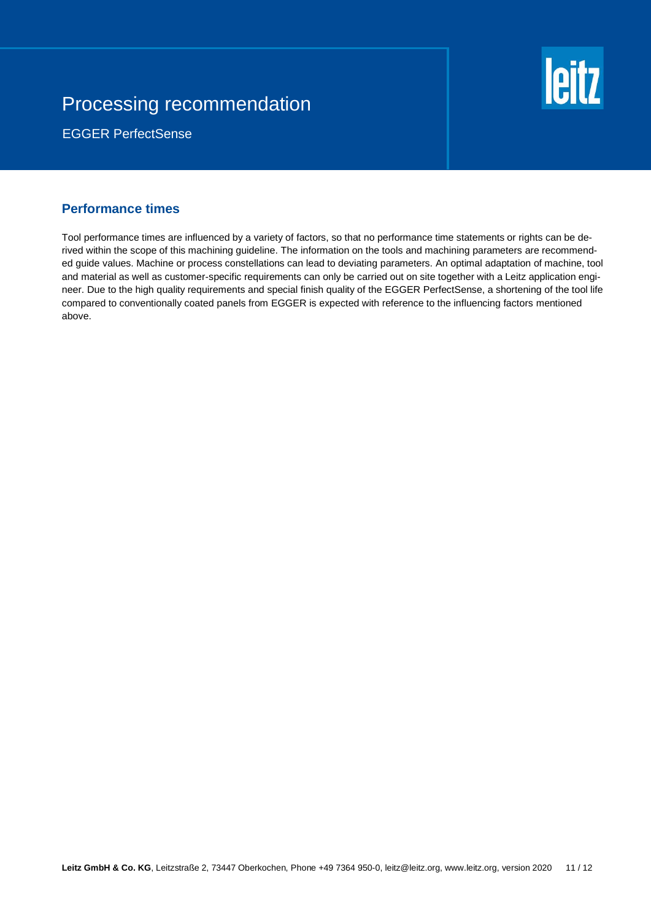

EGGER PerfectSense

## **Performance times**

Tool performance times are influenced by a variety of factors, so that no performance time statements or rights can be derived within the scope of this machining guideline. The information on the tools and machining parameters are recommended guide values. Machine or process constellations can lead to deviating parameters. An optimal adaptation of machine, tool and material as well as customer-specific requirements can only be carried out on site together with a Leitz application engineer. Due to the high quality requirements and special finish quality of the EGGER PerfectSense, a shortening of the tool life compared to conventionally coated panels from EGGER is expected with reference to the influencing factors mentioned above.